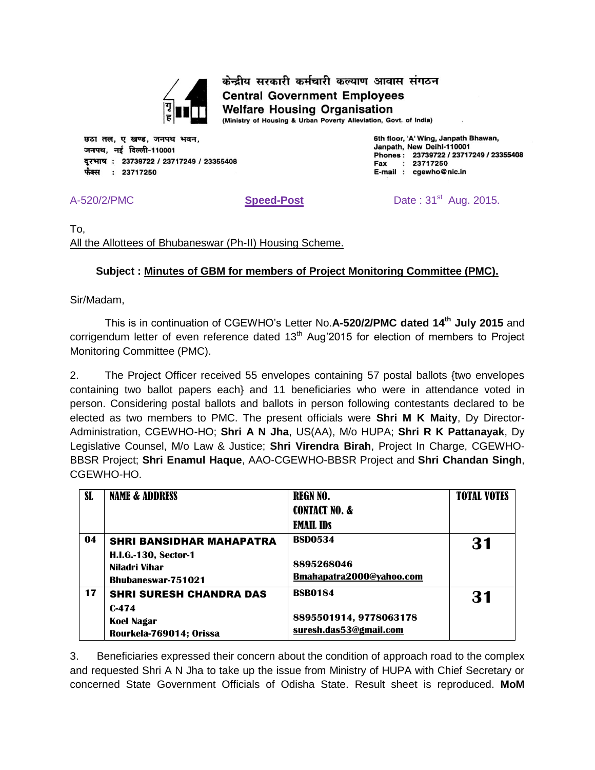

केन्द्रीय सरकारी कर्मचारी कल्याण आवास संगठन **Central Government Employees Welfare Housing Organisation** 

(Ministry of Housing & Urban Poverty Alleviation, Govt. of India)

छठा तल, ए खण्ड, जनपथ भवन, जनपथ, नई दिल्ली-110001 दूरभाष: 23739722 / 23717249 / 23355408 फैक्स : 23717250

6th floor, 'A' Wing, Janpath Bhawan, Janpath, New Delhi-110001 Phones: 23739722 / 23717249 / 23355408  $: 23717250$ Fax E-mail : cgewho@nic.in

A-520/2/PMC **Speed-Post** Date : 31<sup>st</sup> Aug. 2015.

To, All the Allottees of Bhubaneswar (Ph-II) Housing Scheme.

## **Subject : Minutes of GBM for members of Project Monitoring Committee (PMC).**

Sir/Madam,

This is in continuation of CGEWHO's Letter No.**A-520/2/PMC dated 14th July 2015** and corrigendum letter of even reference dated  $13<sup>th</sup>$  Aug'2015 for election of members to Project Monitoring Committee (PMC).

2. The Project Officer received 55 envelopes containing 57 postal ballots {two envelopes containing two ballot papers each} and 11 beneficiaries who were in attendance voted in person. Considering postal ballots and ballots in person following contestants declared to be elected as two members to PMC. The present officials were **Shri M K Maity**, Dy Director-Administration, CGEWHO-HO; **Shri A N Jha**, US(AA), M/o HUPA; **Shri R K Pattanayak**, Dy Legislative Counsel, M/o Law & Justice; **Shri Virendra Birah**, Project In Charge, CGEWHO-BBSR Project; **Shri Enamul Haque**, AAO-CGEWHO-BBSR Project and **Shri Chandan Singh**, CGEWHO-HO.

| <b>SL</b> | <b>NAME &amp; ADDRESS</b>                                                 | <b>REGN NO.</b>                        | <b>TOTAL VOTES</b> |
|-----------|---------------------------------------------------------------------------|----------------------------------------|--------------------|
|           |                                                                           | <b>CONTACT NO. &amp;</b>               |                    |
|           |                                                                           | <b>EMAIL IDS</b>                       |                    |
| 04        | <b>SHRI BANSIDHAR MAHAPATRA</b>                                           | <b>BSD0534</b>                         | 31                 |
|           | <b>H.I.G.-130, Sector-1</b><br>Niladri Vihar<br><b>Bhubaneswar-751021</b> | 8895268046<br>Bmahapatra2000@vahoo.com |                    |
| 17        | <b>SHRI SURESH CHANDRA DAS</b>                                            | <b>BSB0184</b>                         | 31                 |
|           | $C-474$                                                                   |                                        |                    |
|           | Koel Nagar                                                                | 8895501914, 9778063178                 |                    |
|           | Rourkela-769014; Orissa                                                   | suresh.das53@gmail.com                 |                    |

3. Beneficiaries expressed their concern about the condition of approach road to the complex and requested Shri A N Jha to take up the issue from Ministry of HUPA with Chief Secretary or concerned State Government Officials of Odisha State. Result sheet is reproduced. **MoM**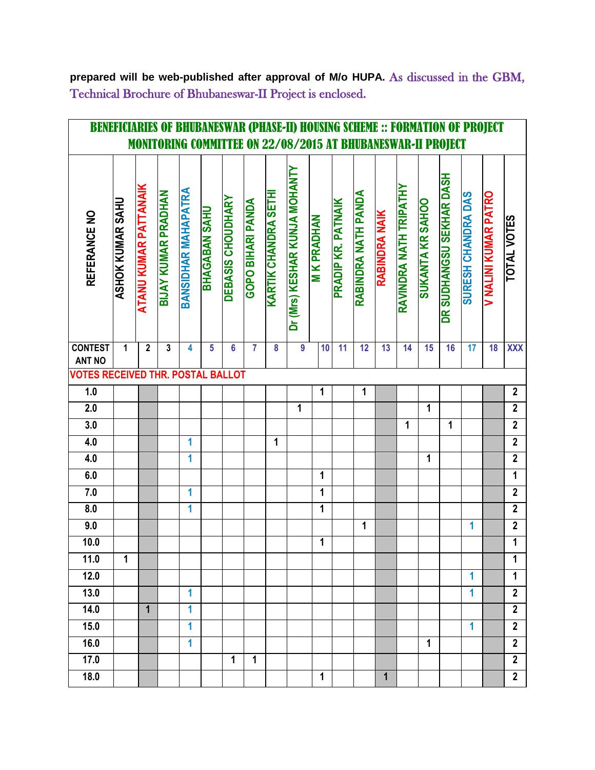**prepared will be web-published after approval of M/o HUPA.** As discussed in the GBM, Technical Brochure of Bhubaneswar-II Project is enclosed.

| OF BHUBANESWAR (PHASE-II) HOUSING SCHEME :: FORMATION OF PROJECT<br><b>BENEFICIARIES</b><br><b>MONITORING COMMITTEE ON 22/08/2015 AT BHUBANESWAR-II PROJECT</b> |                  |                       |                     |                            |                       |                   |                          |                            |                               |                    |                    |                     |               |                        |                  |                          |                           |                      |                    |
|-----------------------------------------------------------------------------------------------------------------------------------------------------------------|------------------|-----------------------|---------------------|----------------------------|-----------------------|-------------------|--------------------------|----------------------------|-------------------------------|--------------------|--------------------|---------------------|---------------|------------------------|------------------|--------------------------|---------------------------|----------------------|--------------------|
|                                                                                                                                                                 |                  |                       |                     |                            |                       |                   |                          |                            |                               |                    |                    |                     |               |                        |                  |                          |                           |                      |                    |
| REFERANCE NO                                                                                                                                                    | ASHOK KUMAR SAHU | ATANU KUMAR PATTANAIK | BIJAY KUMAR PRADHAN | <b>BANSIDHAN MAHAPATRA</b> | <b>NHAQAABAN SAHU</b> | DEBASIS CHOUDHARY | <b>GOPO BIHARI PANDA</b> | <b>KARTIK CHANDRA SETH</b> | Dr (Mrs) KESHAR KUNJA MOHANTY | <b>M K PRADHAN</b> | PRADIP KR. PATNAIK | RABINDRA NATH PANDA | RABINDRA NAIK | RAVINDRA NATH TRIPATHY | SUKANTA KR SAHOO | DR SUDHANGSU SEKHAR DASH | <b>SYG VAGNVHO HS3HOS</b> | V NALINI KUMAR PATRO | <b>TOTAL VOTES</b> |
| <b>CONTEST</b><br><b>ANT NO</b>                                                                                                                                 | 1                | $\overline{2}$        | 3                   | 4                          | 5                     | $6\phantom{a}$    | $\overline{7}$           | 8                          | $\overline{9}$                | 10                 | 11                 | $\overline{12}$     | 13            | 14                     | 15               | 16                       | 17                        | 18                   | <b>XXX</b>         |
| <b>VOTES RECEIVED THR. POSTAL BALLOT</b>                                                                                                                        |                  |                       |                     |                            |                       |                   |                          |                            |                               |                    |                    |                     |               |                        |                  |                          |                           |                      |                    |
| 1.0                                                                                                                                                             |                  |                       |                     |                            |                       |                   |                          |                            |                               | 1                  |                    | 1                   |               |                        |                  |                          |                           |                      | $\overline{2}$     |
| $\overline{2.0}$                                                                                                                                                |                  |                       |                     |                            |                       |                   |                          |                            | 1                             |                    |                    |                     |               |                        | 1                |                          |                           |                      | $\mathbf{2}$       |
| 3.0                                                                                                                                                             |                  |                       |                     |                            |                       |                   |                          |                            |                               |                    |                    |                     |               | 1                      |                  | 1                        |                           |                      | $\overline{2}$     |
| 4.0                                                                                                                                                             |                  |                       |                     | 1                          |                       |                   |                          | 1                          |                               |                    |                    |                     |               |                        |                  |                          |                           |                      | $\overline{2}$     |
| 4.0                                                                                                                                                             |                  |                       |                     | 1                          |                       |                   |                          |                            |                               |                    |                    |                     |               |                        | 1                |                          |                           |                      | $\overline{2}$     |
| 6.0                                                                                                                                                             |                  |                       |                     |                            |                       |                   |                          |                            |                               | 1                  |                    |                     |               |                        |                  |                          |                           |                      | $\mathbf 1$        |
| 7.0                                                                                                                                                             |                  |                       |                     | 1                          |                       |                   |                          |                            |                               | 1                  |                    |                     |               |                        |                  |                          |                           |                      | $\mathbf{2}$       |
| 8.0                                                                                                                                                             |                  |                       |                     | 1                          |                       |                   |                          |                            |                               | 1                  |                    |                     |               |                        |                  |                          |                           |                      | $\mathbf{2}$       |
| 9.0                                                                                                                                                             |                  |                       |                     |                            |                       |                   |                          |                            |                               |                    |                    | 1                   |               |                        |                  |                          | 1                         |                      | $\mathbf{2}$       |
| 10.0                                                                                                                                                            |                  |                       |                     |                            |                       |                   |                          |                            |                               | 1                  |                    |                     |               |                        |                  |                          |                           |                      | $\overline{1}$     |
| 11.0                                                                                                                                                            | 1                |                       |                     |                            |                       |                   |                          |                            |                               |                    |                    |                     |               |                        |                  |                          |                           |                      | 1                  |
| 12.0                                                                                                                                                            |                  |                       |                     |                            |                       |                   |                          |                            |                               |                    |                    |                     |               |                        |                  |                          | 1                         |                      | 1                  |
| 13.0                                                                                                                                                            |                  |                       |                     | 1                          |                       |                   |                          |                            |                               |                    |                    |                     |               |                        |                  |                          | 1                         |                      | $\mathbf{2}$       |
| 14.0                                                                                                                                                            |                  | $\mathbf{1}$          |                     | 1                          |                       |                   |                          |                            |                               |                    |                    |                     |               |                        |                  |                          |                           |                      | $\overline{2}$     |
| 15.0                                                                                                                                                            |                  |                       |                     | 1                          |                       |                   |                          |                            |                               |                    |                    |                     |               |                        |                  |                          | 1                         |                      | $\mathbf{2}$       |
| 16.0                                                                                                                                                            |                  |                       |                     | 1                          |                       |                   |                          |                            |                               |                    |                    |                     |               |                        | 1                |                          |                           |                      | $\overline{2}$     |
| 17.0                                                                                                                                                            |                  |                       |                     |                            |                       | $\mathbf{1}$      | 1                        |                            |                               |                    |                    |                     |               |                        |                  |                          |                           |                      | $\mathbf{2}$       |
| 18.0                                                                                                                                                            |                  |                       |                     |                            |                       |                   |                          |                            |                               | 1                  |                    |                     | 1             |                        |                  |                          |                           |                      | $\mathbf{2}$       |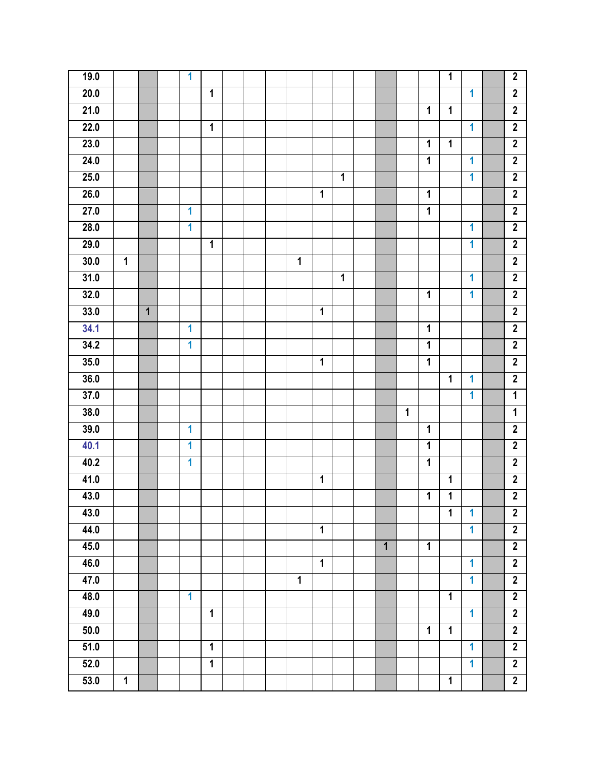| 19.0              |              |                | $\mathbf{1}$ |                |  |                |                |                |                |   |                | $\mathbf{1}$            |                         | $\overline{2}$ |
|-------------------|--------------|----------------|--------------|----------------|--|----------------|----------------|----------------|----------------|---|----------------|-------------------------|-------------------------|----------------|
| 20.0              |              |                |              | 1              |  |                |                |                |                |   |                |                         | 1                       | $\overline{2}$ |
| 21.0              |              |                |              |                |  |                |                |                |                |   | $\mathbf{1}$   | $\mathbf 1$             |                         | $\overline{2}$ |
| 22.0              |              |                |              | $\mathbf 1$    |  |                |                |                |                |   |                |                         | 1                       | $\overline{2}$ |
| 23.0              |              |                |              |                |  |                |                |                |                |   | 1              | $\overline{\mathbf{1}}$ |                         | $\overline{2}$ |
| 24.0              |              |                |              |                |  |                |                |                |                |   | 1              |                         | 1                       | $\overline{2}$ |
| 25.0              |              |                |              |                |  |                |                | $\overline{1}$ |                |   |                |                         | 1                       | $\overline{2}$ |
| 26.0              |              |                |              |                |  |                | 1              |                |                |   | $\mathbf{1}$   |                         |                         | $\overline{2}$ |
| 27.0              |              |                | 1            |                |  |                |                |                |                |   | 1              |                         |                         | $\mathbf{2}$   |
| 28.0              |              |                | 1            |                |  |                |                |                |                |   |                |                         | 1                       | $\overline{2}$ |
| 29.0              |              |                |              | $\mathbf 1$    |  |                |                |                |                |   |                |                         | 1                       | $\overline{2}$ |
| 30.0              | $\mathbf{1}$ |                |              |                |  | $\mathbf 1$    |                |                |                |   |                |                         |                         | $\overline{2}$ |
| 31.0              |              |                |              |                |  |                |                | $\overline{1}$ |                |   |                |                         | 1                       | $\overline{2}$ |
| 32.0              |              |                |              |                |  |                |                |                |                |   | 1              |                         | 1                       | $\overline{2}$ |
| 33.0              |              | $\overline{1}$ |              |                |  |                | $\mathbf 1$    |                |                |   |                |                         |                         | $\overline{2}$ |
| 34.1              |              |                | 1            |                |  |                |                |                |                |   | $\mathbf{1}$   |                         |                         | $\overline{2}$ |
| 34.2              |              |                | $\mathbf{1}$ |                |  |                |                |                |                |   | $\mathbf{1}$   |                         |                         | $\overline{2}$ |
| 35.0              |              |                |              |                |  |                | 1              |                |                |   | $\mathbf 1$    |                         |                         | $\overline{2}$ |
| $\overline{36.0}$ |              |                |              |                |  |                |                |                |                |   |                | 1                       | 1                       | $\overline{2}$ |
| 37.0              |              |                |              |                |  |                |                |                |                |   |                |                         | $\overline{\mathbf{1}}$ | $\overline{1}$ |
| 38.0              |              |                |              |                |  |                |                |                |                | 1 |                |                         |                         | 1              |
| 39.0              |              |                | 1            |                |  |                |                |                |                |   | 1              |                         |                         | $\overline{2}$ |
| 40.1              |              |                | 1            |                |  |                |                |                |                |   | $\mathbf 1$    |                         |                         | $\overline{2}$ |
| 40.2              |              |                | 1            |                |  |                |                |                |                |   | $\mathbf 1$    |                         |                         | $\overline{2}$ |
| 41.0              |              |                |              |                |  |                | 1              |                |                |   |                | 1                       |                         | $\overline{2}$ |
| 43.0              |              |                |              |                |  |                |                |                |                |   | $\mathbf{1}$   | $\overline{\mathbf{1}}$ |                         | $\overline{2}$ |
| 43.0              |              |                |              |                |  |                |                |                |                |   |                | $\mathbf{1}$            | $\mathbf{1}$            | $\overline{2}$ |
| 44.0              |              |                |              |                |  |                | $\mathbf 1$    |                |                |   |                |                         | $\overline{1}$          | $\overline{2}$ |
| 45.0              |              |                |              |                |  |                |                |                | $\overline{1}$ |   | $\overline{1}$ |                         |                         | $\overline{2}$ |
| 46.0              |              |                |              |                |  |                | $\overline{1}$ |                |                |   |                |                         | $\overline{\mathbf{1}}$ | $\overline{2}$ |
| 47.0              |              |                |              |                |  | $\overline{1}$ |                |                |                |   |                |                         | $\overline{1}$          | $\overline{2}$ |
| 48.0              |              |                | $\mathbf{1}$ |                |  |                |                |                |                |   |                | $\mathbf 1$             |                         | $\overline{2}$ |
| 49.0              |              |                |              | $\mathbf{1}$   |  |                |                |                |                |   |                |                         | $\overline{1}$          | $\overline{2}$ |
| 50.0              |              |                |              |                |  |                |                |                |                |   | $\mathbf 1$    | $\mathbf 1$             |                         | $\overline{2}$ |
| 51.0              |              |                |              | $\mathbf{1}$   |  |                |                |                |                |   |                |                         | $\mathbf{1}$            | $\overline{2}$ |
| 52.0              |              |                |              | $\overline{1}$ |  |                |                |                |                |   |                |                         | $\overline{1}$          | $\overline{2}$ |
| 53.0              | $\mathbf{1}$ |                |              |                |  |                |                |                |                |   |                | $\mathbf{1}$            |                         | $\overline{2}$ |